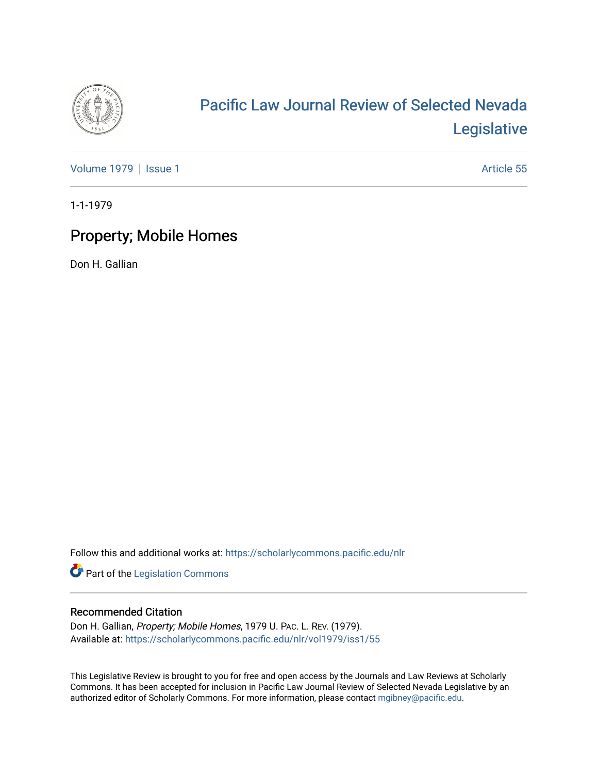

# [Pacific Law Journal Review of Selected Nevada](https://scholarlycommons.pacific.edu/nlr)  [Legislative](https://scholarlycommons.pacific.edu/nlr)

[Volume 1979](https://scholarlycommons.pacific.edu/nlr/vol1979) | [Issue 1](https://scholarlycommons.pacific.edu/nlr/vol1979/iss1) Article 55

1-1-1979

## Property; Mobile Homes

Don H. Gallian

Follow this and additional works at: [https://scholarlycommons.pacific.edu/nlr](https://scholarlycommons.pacific.edu/nlr?utm_source=scholarlycommons.pacific.edu%2Fnlr%2Fvol1979%2Fiss1%2F55&utm_medium=PDF&utm_campaign=PDFCoverPages) 

Part of the [Legislation Commons](http://network.bepress.com/hgg/discipline/859?utm_source=scholarlycommons.pacific.edu%2Fnlr%2Fvol1979%2Fiss1%2F55&utm_medium=PDF&utm_campaign=PDFCoverPages)

### Recommended Citation

Don H. Gallian, Property; Mobile Homes, 1979 U. PAC. L. REV. (1979). Available at: [https://scholarlycommons.pacific.edu/nlr/vol1979/iss1/55](https://scholarlycommons.pacific.edu/nlr/vol1979/iss1/55?utm_source=scholarlycommons.pacific.edu%2Fnlr%2Fvol1979%2Fiss1%2F55&utm_medium=PDF&utm_campaign=PDFCoverPages)

This Legislative Review is brought to you for free and open access by the Journals and Law Reviews at Scholarly Commons. It has been accepted for inclusion in Pacific Law Journal Review of Selected Nevada Legislative by an authorized editor of Scholarly Commons. For more information, please contact [mgibney@pacific.edu](mailto:mgibney@pacific.edu).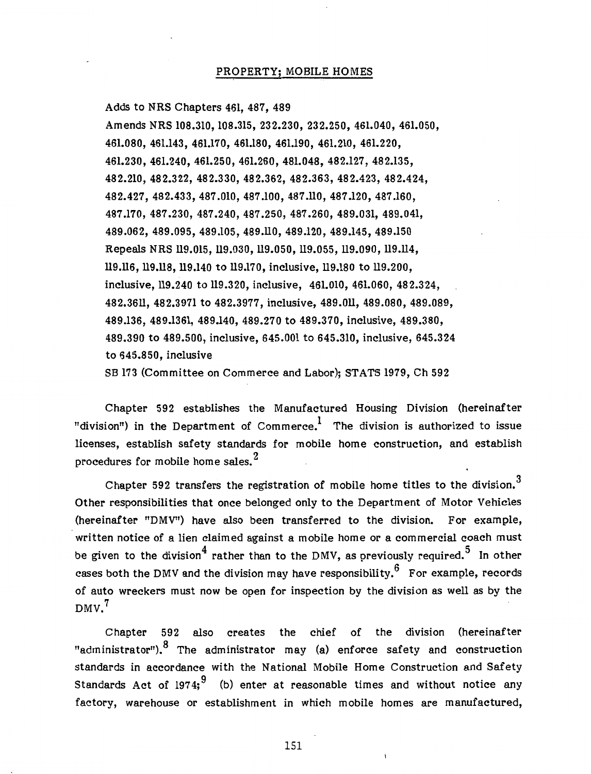#### PROPERTY; MOBILE HOMES

Adds to NRS Chapters 461, 487, 489 Amends NRS 108.310, 108.315, 232.230, 232.250, 461.040, 461.050, 461.080, 461.143, 461.170, 461.180, 461.190, 461.210, 461.220, 461.230, 461.240, 461.250, 461.260, 481.048, 482.127' 482.135, 482.210, 482.322, 482.330, 482.362, 482.363, 482.423, 482.424, 482.427' 482.433, 487.010, 487.100, 487.110, 487.120, 487.160, 487.170, 487.230, 487.240, 487.250, 487.260, 489.031, 489.041, 489.062, 489.095, 489.105, 489.110, 489.120, 489.145, 489.150 Repeals NRS 119.015, 119.030, 119.050, 119.055, 119.090, 119.114, 119.116, 119.118, 119.140 to 119.170, inclusive, 119.180 to 119.200, inclusive, 119.240 to 119.320, inclusive, 461.010, 461.060, 482.324, 482.3611, 482.3971 to 482.3977, inclusive, 489.011, 489.080, 489.089, 489.136, 489.1361, 489.140, 489.270 to 489.370, inclusive, 489.380, 489.390 to 489.500, inclusive, 645.001 to 645.310, inclusive, 645.324 to 645.850, inclusive SB 173 (Committee on Commerce and Labor); STATS 1979, Ch 592

Chapter 592 establishes the Manufactured Housing Division (hereinafter "division") in the Department of Commerce.<sup>1</sup> The division is authorized to issue licenses, establish safety standards for mobile home construction, and establish procedures for mobile home sales. $^{2}$ 

Chapter 592 transfers the registration of mobile home titles to the division.<sup>3</sup> Other responsibilities that once belonged only to the Department of Motor Vehicles (hereinafter "DMV'') have also been transferred to the division. For example, written notice of a lien claimed against a mobile home or a commercial coach must be given to the division<sup>4</sup> rather than to the DMV, as previously required.<sup>5</sup> In other cases both the DMV and the division may have responsibility.<sup>6</sup> For example, records of auto wreckers must now be open for inspection by the division as well as by the  $DMV<sub>1</sub>$ 

Chapter 592 also creates the chief of the division (hereinafter "administrator"). <sup>8</sup> The administrator may (a) enforce safety and construction standards in accordance with the National Mobile Home Construction and Safety Standards Act of 1974;  $\frac{9}{10}$  (b) enter at reasonable times and without notice any factory, warehouse or establishment in which mobile homes are manufactured,

151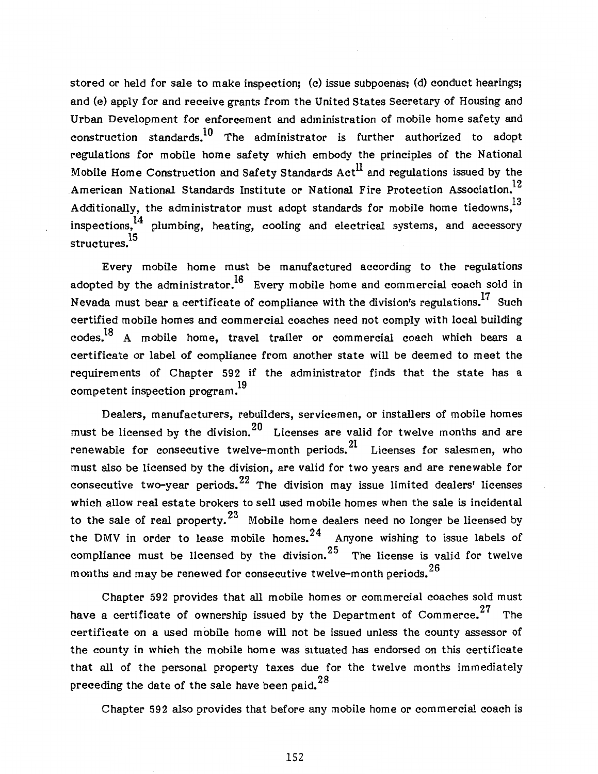stored or held for sale to make inspection; (c) issue subpoenas; (d) conduct hearings; and (e) apply for and receive grants from the United States Secretary of Housing and Urban Development for enforcement and administration of mobile home safety and construction standards. $^{10}$  The administrator is further authorized to adopt regulations for mobile home safety which embody the principles of the National Mobile Home Construction and Safety Standards  $Act<sup>11</sup>$  and regulations issued by the American National Standards Institute or National Fire Protection Association.<sup>12</sup> Additionally, the administrator must adopt standards for mobile home tiedowns,<sup>13</sup> inspections,<sup>14</sup> plumbing, heating, cooling and electrical systems, and accessory structures.<sup>15</sup>

Every mobile home must be manufactured according to the regulations adopted by the administrator.<sup>16</sup> Every mobile home and commercial coach sold in Nevada must bear a certificate of compliance with the division's regulations.17 Such certified mobile homes and commercial coaches need not comply with local building codes.18 A mobile home, travel trailer or commercial coach which bears a certificate or label of compliance from another state will be deemed to meet the requirements of Chapter 592 if the administrator finds that the state has a to competent inspection program.<sup>19</sup>

Dealers, manufacturers, rebuilders, servicemen, or installers of mobile homes must be licensed by the division. $^{20}$  Licenses are valid for twelve months and are renewable for consecutive twelve-month periods.  $2<sup>1</sup>$  Licenses for salesmen, who must also be licensed by the division, are valid for two years and are renewable for consecutive two-year periods.  $22$  The division may issue limited dealers' licenses which allow real estate brokers to sell used mobile homes when the sale is incidental to the sale of real property.<sup>23</sup> Mobile home dealers need no longer be licensed by the DMV in order to lease mobile homes.  $24$  Anyone wishing to issue labels of compliance must be licensed by the division.  $25$  The license is valid for twelve months and may be renewed for consecutive twelve-month periods. 26

Chapter 592 provides that all mobile homes or commercial coaches sold must have a certificate of ownership issued by the Department of Commerce.<sup>27</sup> The certificate on a used mobile home will not be issued unless the county assessor of the county in which the mobile home was situated has endorsed on this certificate that all of the personal property taxes due for the twelve months immediately preceding the date of the sale have been paid.  $28$ 

Chapter 592 also provides that before any mobile home or commercial coach is

152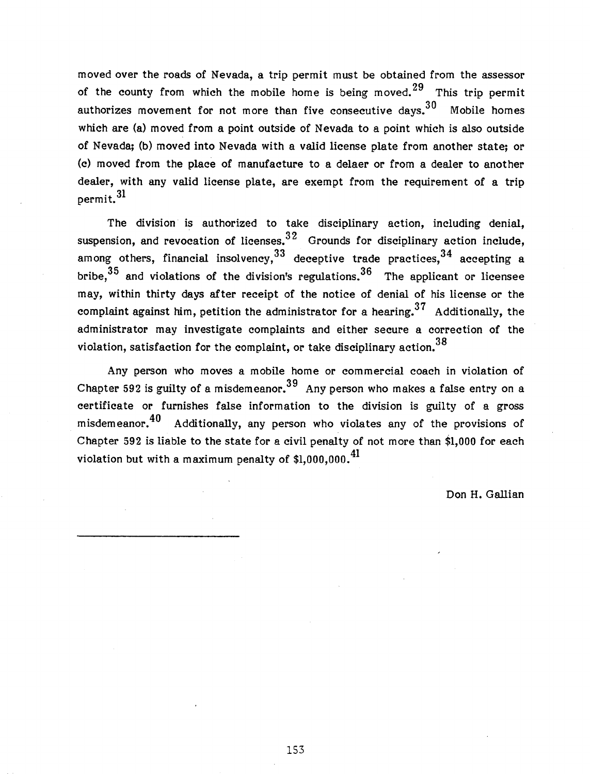moved over the roads of Nevada, a trip permit must be obtained from the assessor of the county from which the mobile home is being moved. <sup>29</sup> This trip permit authorizes movement for not more than five consecutive days.  $30$  Mobile homes which are (a) moved from a point outside of Nevada to a point which is also outside of Nevada; (b) moved into Nevada with a valid license plate from another state; or (c) moved from the place of manufacture to a delaer or from a dealer to another dealer, with any valid license plate, are exempt from the requirement of a trip permit. 31

The division is authorized to take disciplinary action, including denial, suspension, and revocation of licenses.  $32$  Grounds for disciplinary action include, among others, financial insolvency,  $33$  deceptive trade practices,  $34$  accepting a bribe,  $35$  and violations of the division's regulations.  $36$  The applicant or licensee may, within thirty days after receipt of the notice of denial of his license or the complaint against him, petition the administrator for a hearing.<sup>37</sup> Additionally, the administrator may investigate complaints and either secure a correction of the violation, satisfaction for the complaint, or take disciplinary action.<sup>38</sup>

Any person who moves a mobile home or commercial coach in violation of Chapter 592 is guilty of a misdemeanor.<sup>39</sup> Any person who makes a false entry on a certificate or furnishes false information to the division is guilty of a gross misdemeanor.<sup>40</sup> Additionally, any person who violates any of the provisions of Chapter 592 is liable to the state for a civil penalty of not more than \$1,000 for each violation but with a maximum penalty of  $$1.000.000.<sup>41</sup>$ 

Don H. Gallian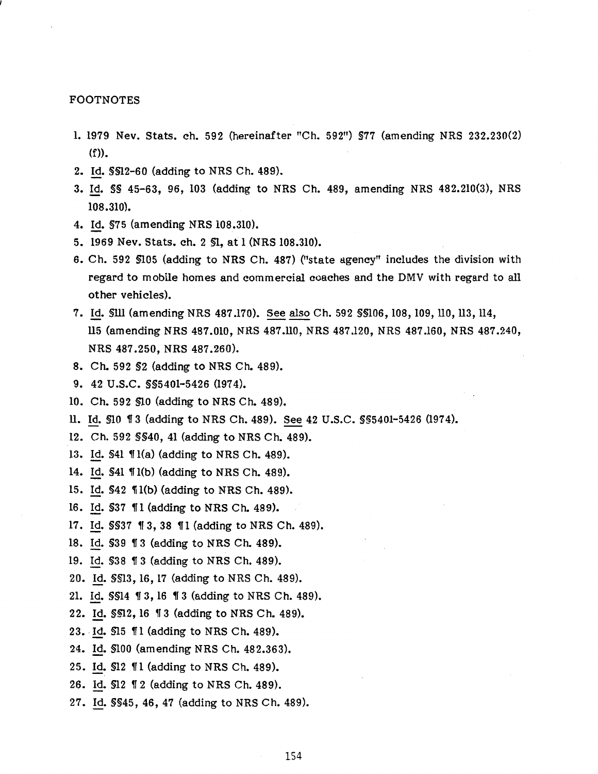#### FOOTNOTES

- 1. 1979 Nev. Stats. ch. 592 (hereinafter "Ch. 592") §77 (amending NRS 232.230(2) (f)).
- 2. Id. §§12-60 (adding to NRS Ch. 489).
- 3. Id. §§ 45-63, 96, 103 (adding to NRS Ch. 489, amending NRS 482.210(3), NRS 108.310).
- 4. Id. §75 (amending NRS 108.310).
- 5. 1969 Nev. Stats. ch. 2 §1, at 1 (NRS 108.310).
- 6. Ch. 592 §105 (adding to NRS Ch. 487) ("state agency" includes the division with regard to mobile homes and commercial coaches and the DMV with regard to all other vehicles).
- 7. Id. SIII (amending NRS 487.170). See also Ch. 592 \$\$106, 108, 109, 110, 113, 114, ll5 (amending NRS 487.010, NRS 487.ll0, NRS 487.120, NRS 487.160, NRS 487.240, NRS 487.250, NRS 487 .260).
- 8. Ch. 592 §2 (adding to NRS Ch. 489).
- 9. 42 u.s.c. §§5401-5426 (1974).
- 10. Ch. 592 §10 (adding to NRS Ch. 489).
- ll. Id. §10 1T 3 (adding to NRS Ch. 489). See 42 U .S.C. §§5401-5426 (197 4).
- 12. Ch. 592 §§40, 41 (adding to NRS Ch. 489).
- 13. Id.  $$41$   $$1(a)$  (adding to NRS Ch. 489).
- 14. Id. \$41 *\*[1(b) (adding to NRS Ch. 489).
- 15. Id. §42 1f l(b) (adding to NRS Ch. 489).
- 16. Id. \$37 11 (adding to NRS Ch. 489).
- 17. Id. \$\$37 13, 38 11 (adding to NRS Ch. 489).
- 18. Id. \$39 13 (adding to NRS Ch. 489).
- 19. Id. §38 1f 3 (adding to NRS Ch. 489).
- 20. Id. §§13, 16, 17 (adding to NRS Ch. 489).
- 21. Id. §§14 1f 3, 16 1f 3 (adding to NRS Ch. 489).
- 22. Id. §§12, 16 1f 3 (adding to NRS Ch. 489).
- 23. Id.  $$15$   $$1$  (adding to NRS Ch. 489).
- 24. Id. §100 (amending NRS Ch. 482.363).
- 25. Id. §12 1fl (adding to NRS Ch. 489).
- 26. Id. §12 1f 2 (adding to NRS Ch. 489).
- 27. Id. §§45, 46, 47 (adding to NRS Ch. 489).